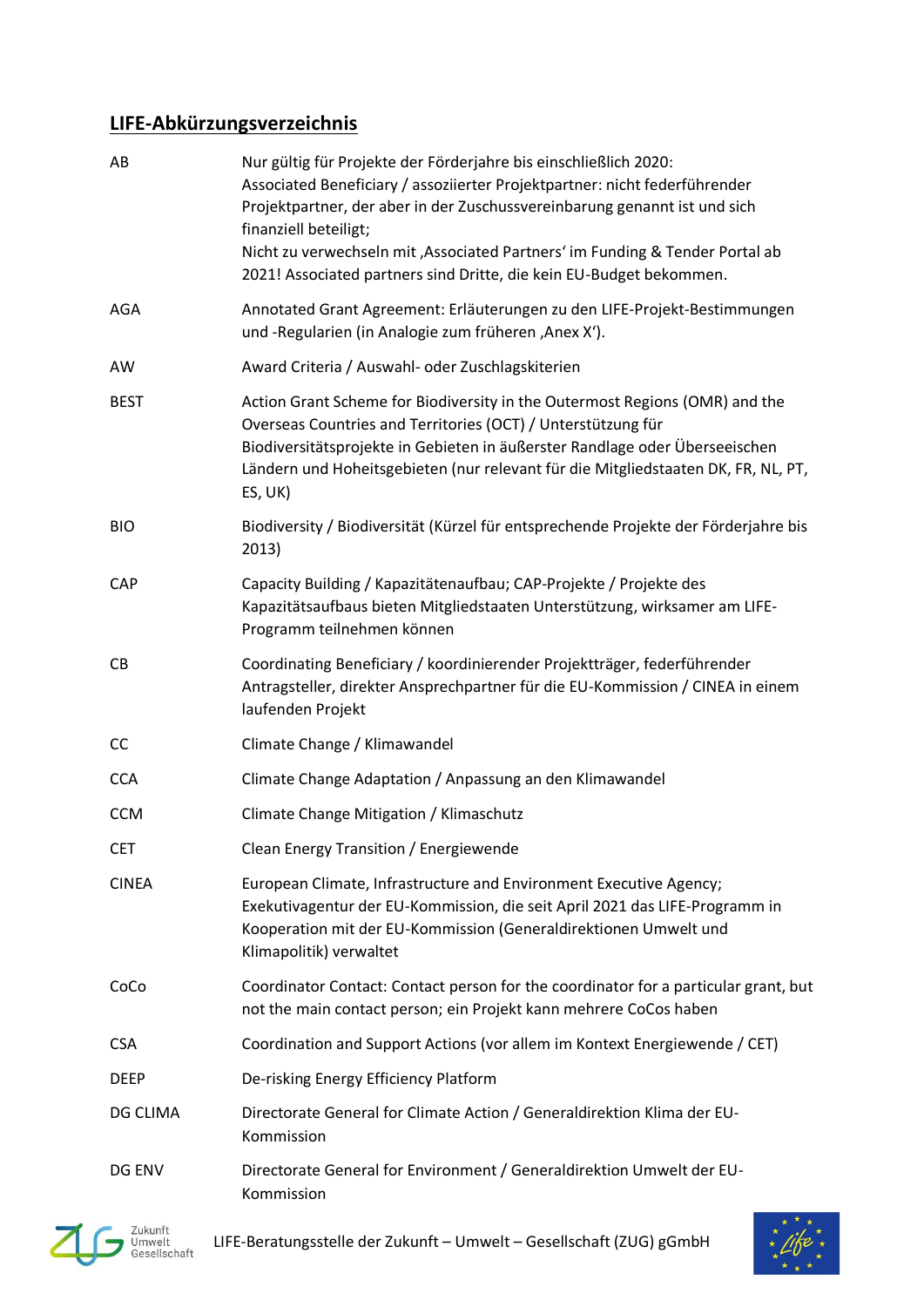## **LIFE-Abkürzungsverzeichnis**

| AB           | Nur gültig für Projekte der Förderjahre bis einschließlich 2020:<br>Associated Beneficiary / assoziierter Projektpartner: nicht federführender<br>Projektpartner, der aber in der Zuschussvereinbarung genannt ist und sich<br>finanziell beteiligt;<br>Nicht zu verwechseln mit , Associated Partners' im Funding & Tender Portal ab<br>2021! Associated partners sind Dritte, die kein EU-Budget bekommen. |
|--------------|--------------------------------------------------------------------------------------------------------------------------------------------------------------------------------------------------------------------------------------------------------------------------------------------------------------------------------------------------------------------------------------------------------------|
| AGA          | Annotated Grant Agreement: Erläuterungen zu den LIFE-Projekt-Bestimmungen<br>und -Regularien (in Analogie zum früheren , Anex X').                                                                                                                                                                                                                                                                           |
| AW           | Award Criteria / Auswahl- oder Zuschlagskiterien                                                                                                                                                                                                                                                                                                                                                             |
| <b>BEST</b>  | Action Grant Scheme for Biodiversity in the Outermost Regions (OMR) and the<br>Overseas Countries and Territories (OCT) / Unterstützung für<br>Biodiversitätsprojekte in Gebieten in äußerster Randlage oder Überseeischen<br>Ländern und Hoheitsgebieten (nur relevant für die Mitgliedstaaten DK, FR, NL, PT,<br>ES, UK)                                                                                   |
| <b>BIO</b>   | Biodiversity / Biodiversität (Kürzel für entsprechende Projekte der Förderjahre bis<br>2013)                                                                                                                                                                                                                                                                                                                 |
| CAP          | Capacity Building / Kapazitätenaufbau; CAP-Projekte / Projekte des<br>Kapazitätsaufbaus bieten Mitgliedstaaten Unterstützung, wirksamer am LIFE-<br>Programm teilnehmen können                                                                                                                                                                                                                               |
| CB           | Coordinating Beneficiary / koordinierender Projektträger, federführender<br>Antragsteller, direkter Ansprechpartner für die EU-Kommission / CINEA in einem<br>laufenden Projekt                                                                                                                                                                                                                              |
| CC           | Climate Change / Klimawandel                                                                                                                                                                                                                                                                                                                                                                                 |
| <b>CCA</b>   | Climate Change Adaptation / Anpassung an den Klimawandel                                                                                                                                                                                                                                                                                                                                                     |
| <b>CCM</b>   | Climate Change Mitigation / Klimaschutz                                                                                                                                                                                                                                                                                                                                                                      |
| <b>CET</b>   | Clean Energy Transition / Energiewende                                                                                                                                                                                                                                                                                                                                                                       |
| <b>CINEA</b> | European Climate, Infrastructure and Environment Executive Agency;<br>Exekutivagentur der EU-Kommission, die seit April 2021 das LIFE-Programm in<br>Kooperation mit der EU-Kommission (Generaldirektionen Umwelt und<br>Klimapolitik) verwaltet                                                                                                                                                             |
| CoCo         | Coordinator Contact: Contact person for the coordinator for a particular grant, but<br>not the main contact person; ein Projekt kann mehrere CoCos haben                                                                                                                                                                                                                                                     |
| <b>CSA</b>   | Coordination and Support Actions (vor allem im Kontext Energiewende / CET)                                                                                                                                                                                                                                                                                                                                   |
| <b>DEEP</b>  | De-risking Energy Efficiency Platform                                                                                                                                                                                                                                                                                                                                                                        |
| DG CLIMA     | Directorate General for Climate Action / Generaldirektion Klima der EU-<br>Kommission                                                                                                                                                                                                                                                                                                                        |
| DG ENV       | Directorate General for Environment / Generaldirektion Umwelt der EU-<br>Kommission                                                                                                                                                                                                                                                                                                                          |
|              |                                                                                                                                                                                                                                                                                                                                                                                                              |



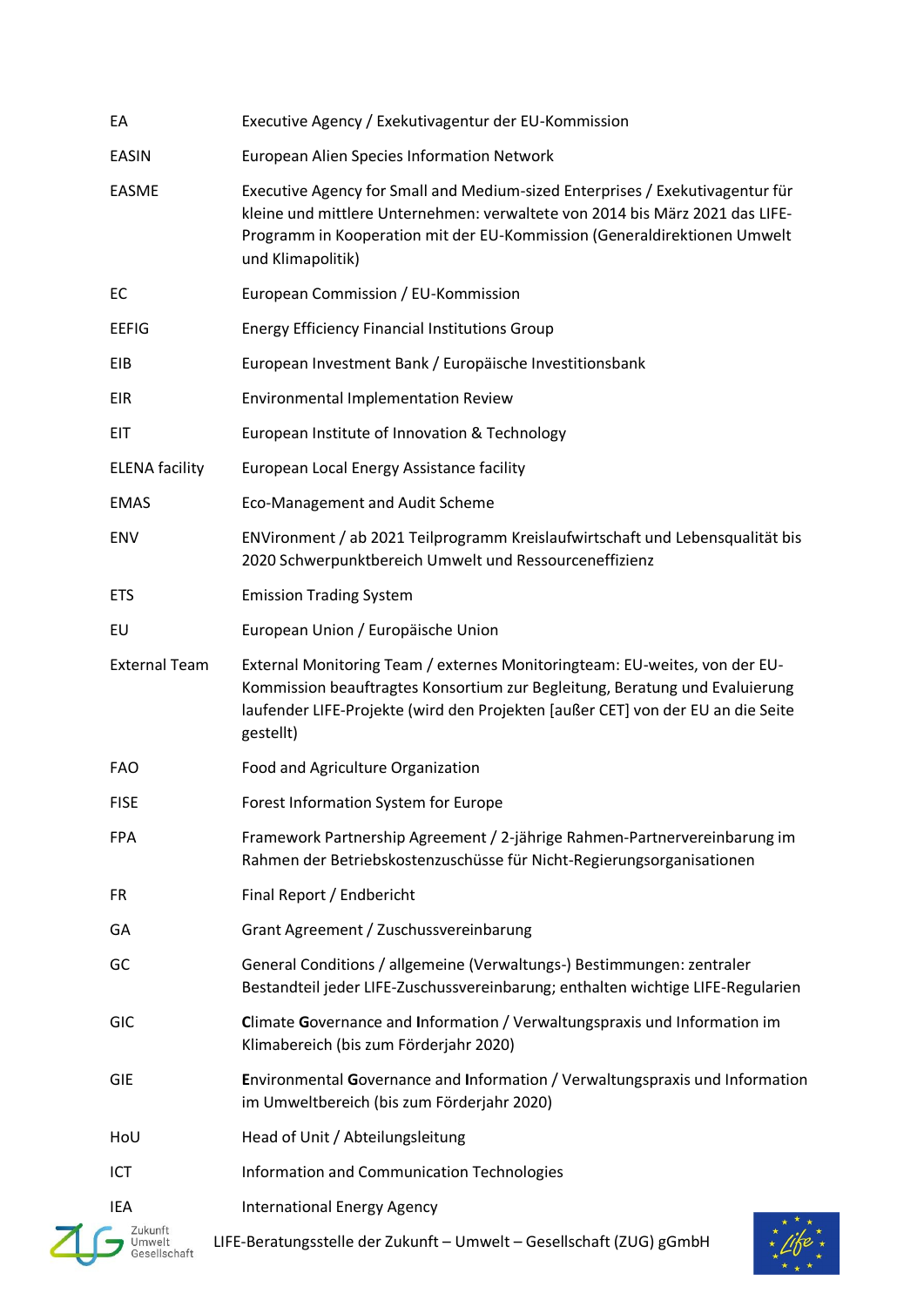| EA                    | Executive Agency / Exekutivagentur der EU-Kommission                                                                                                                                                                                                           |
|-----------------------|----------------------------------------------------------------------------------------------------------------------------------------------------------------------------------------------------------------------------------------------------------------|
| <b>EASIN</b>          | European Alien Species Information Network                                                                                                                                                                                                                     |
| <b>EASME</b>          | Executive Agency for Small and Medium-sized Enterprises / Exekutivagentur für<br>kleine und mittlere Unternehmen: verwaltete von 2014 bis März 2021 das LIFE-<br>Programm in Kooperation mit der EU-Kommission (Generaldirektionen Umwelt<br>und Klimapolitik) |
| EC                    | European Commission / EU-Kommission                                                                                                                                                                                                                            |
| <b>EEFIG</b>          | <b>Energy Efficiency Financial Institutions Group</b>                                                                                                                                                                                                          |
| EIB                   | European Investment Bank / Europäische Investitionsbank                                                                                                                                                                                                        |
| <b>EIR</b>            | Environmental Implementation Review                                                                                                                                                                                                                            |
| EIT                   | European Institute of Innovation & Technology                                                                                                                                                                                                                  |
| <b>ELENA facility</b> | European Local Energy Assistance facility                                                                                                                                                                                                                      |
| <b>EMAS</b>           | <b>Eco-Management and Audit Scheme</b>                                                                                                                                                                                                                         |
| ENV                   | ENVironment / ab 2021 Teilprogramm Kreislaufwirtschaft und Lebensqualität bis<br>2020 Schwerpunktbereich Umwelt und Ressourceneffizienz                                                                                                                        |
| <b>ETS</b>            | <b>Emission Trading System</b>                                                                                                                                                                                                                                 |
| EU                    | European Union / Europäische Union                                                                                                                                                                                                                             |
| <b>External Team</b>  | External Monitoring Team / externes Monitoringteam: EU-weites, von der EU-<br>Kommission beauftragtes Konsortium zur Begleitung, Beratung und Evaluierung<br>laufender LIFE-Projekte (wird den Projekten [außer CET] von der EU an die Seite<br>gestellt)      |
| <b>FAO</b>            | Food and Agriculture Organization                                                                                                                                                                                                                              |
| <b>FISE</b>           | Forest Information System for Europe                                                                                                                                                                                                                           |
| <b>FPA</b>            | Framework Partnership Agreement / 2-jährige Rahmen-Partnervereinbarung im<br>Rahmen der Betriebskostenzuschüsse für Nicht-Regierungsorganisationen                                                                                                             |
| <b>FR</b>             | Final Report / Endbericht                                                                                                                                                                                                                                      |
| GA                    | Grant Agreement / Zuschussvereinbarung                                                                                                                                                                                                                         |
| GC                    | General Conditions / allgemeine (Verwaltungs-) Bestimmungen: zentraler<br>Bestandteil jeder LIFE-Zuschussvereinbarung; enthalten wichtige LIFE-Regularien                                                                                                      |
| <b>GIC</b>            | Climate Governance and Information / Verwaltungspraxis und Information im<br>Klimabereich (bis zum Förderjahr 2020)                                                                                                                                            |
| <b>GIE</b>            | Environmental Governance and Information / Verwaltungspraxis und Information<br>im Umweltbereich (bis zum Förderjahr 2020)                                                                                                                                     |
| HoU                   | Head of Unit / Abteilungsleitung                                                                                                                                                                                                                               |
| ICT                   | Information and Communication Technologies                                                                                                                                                                                                                     |
| IEA                   | <b>International Energy Agency</b>                                                                                                                                                                                                                             |
|                       | LIFE-Beratungsstelle der Zukunft - Umwelt - Gesellschaft (ZUG) gGmbH                                                                                                                                                                                           |

 $*$  \* \*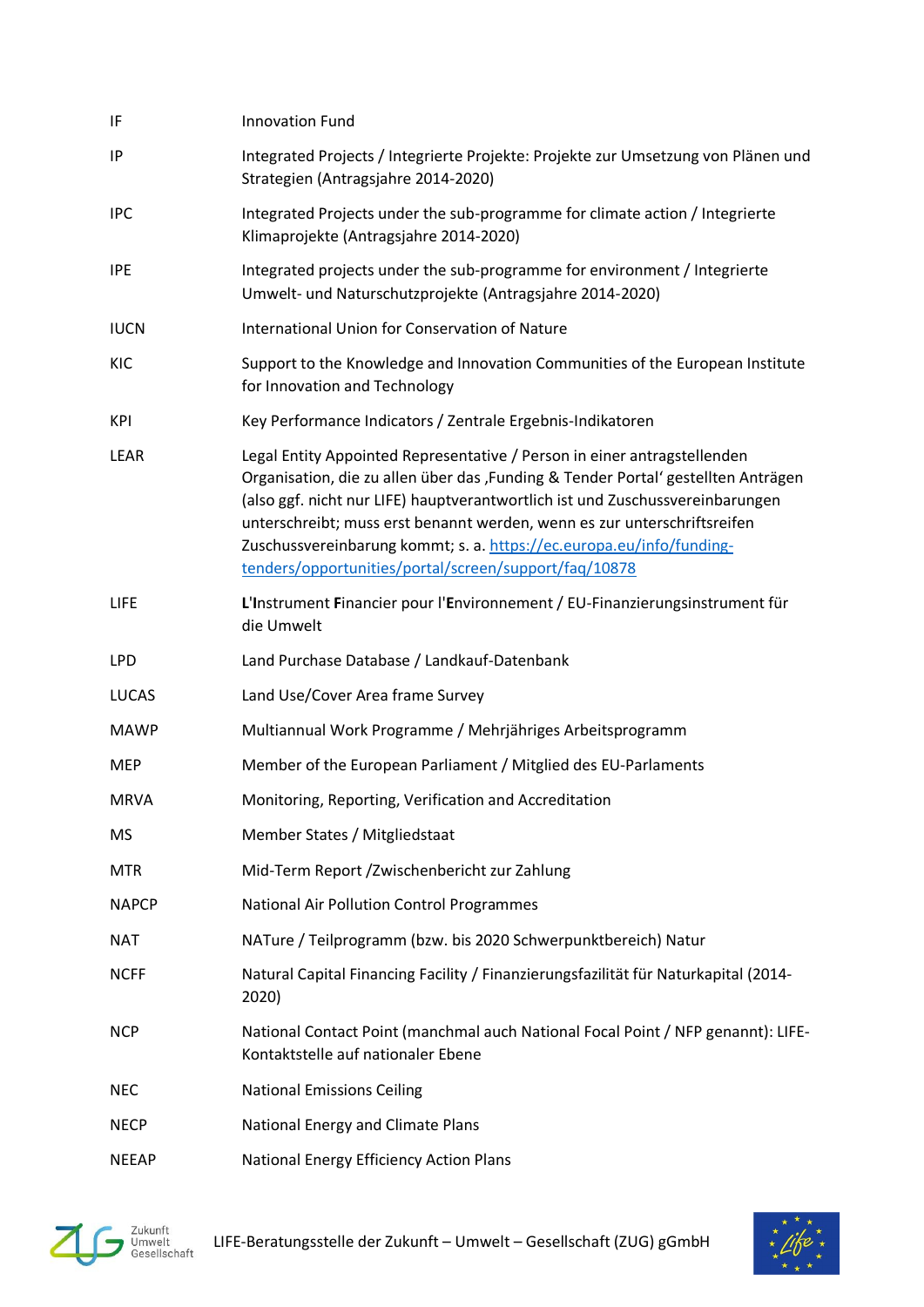| IF           | <b>Innovation Fund</b>                                                                                                                                                                                                                                                                                                                                                                                                                                      |
|--------------|-------------------------------------------------------------------------------------------------------------------------------------------------------------------------------------------------------------------------------------------------------------------------------------------------------------------------------------------------------------------------------------------------------------------------------------------------------------|
| IP           | Integrated Projects / Integrierte Projekte: Projekte zur Umsetzung von Plänen und<br>Strategien (Antragsjahre 2014-2020)                                                                                                                                                                                                                                                                                                                                    |
| <b>IPC</b>   | Integrated Projects under the sub-programme for climate action / Integrierte<br>Klimaprojekte (Antragsjahre 2014-2020)                                                                                                                                                                                                                                                                                                                                      |
| <b>IPE</b>   | Integrated projects under the sub-programme for environment / Integrierte<br>Umwelt- und Naturschutzprojekte (Antragsjahre 2014-2020)                                                                                                                                                                                                                                                                                                                       |
| <b>IUCN</b>  | International Union for Conservation of Nature                                                                                                                                                                                                                                                                                                                                                                                                              |
| KIC          | Support to the Knowledge and Innovation Communities of the European Institute<br>for Innovation and Technology                                                                                                                                                                                                                                                                                                                                              |
| KPI          | Key Performance Indicators / Zentrale Ergebnis-Indikatoren                                                                                                                                                                                                                                                                                                                                                                                                  |
| LEAR         | Legal Entity Appointed Representative / Person in einer antragstellenden<br>Organisation, die zu allen über das ,Funding & Tender Portal' gestellten Anträgen<br>(also ggf. nicht nur LIFE) hauptverantwortlich ist und Zuschussvereinbarungen<br>unterschreibt; muss erst benannt werden, wenn es zur unterschriftsreifen<br>Zuschussvereinbarung kommt; s. a. https://ec.europa.eu/info/funding-<br>tenders/opportunities/portal/screen/support/faq/10878 |
| <b>LIFE</b>  | L'Instrument Financier pour l'Environnement / EU-Finanzierungsinstrument für<br>die Umwelt                                                                                                                                                                                                                                                                                                                                                                  |
| <b>LPD</b>   | Land Purchase Database / Landkauf-Datenbank                                                                                                                                                                                                                                                                                                                                                                                                                 |
| <b>LUCAS</b> | Land Use/Cover Area frame Survey                                                                                                                                                                                                                                                                                                                                                                                                                            |
| <b>MAWP</b>  | Multiannual Work Programme / Mehrjähriges Arbeitsprogramm                                                                                                                                                                                                                                                                                                                                                                                                   |
| <b>MEP</b>   | Member of the European Parliament / Mitglied des EU-Parlaments                                                                                                                                                                                                                                                                                                                                                                                              |
| <b>MRVA</b>  | Monitoring, Reporting, Verification and Accreditation                                                                                                                                                                                                                                                                                                                                                                                                       |
| MS           | Member States / Mitgliedstaat                                                                                                                                                                                                                                                                                                                                                                                                                               |
| <b>MTR</b>   | Mid-Term Report /Zwischenbericht zur Zahlung                                                                                                                                                                                                                                                                                                                                                                                                                |
| <b>NAPCP</b> | <b>National Air Pollution Control Programmes</b>                                                                                                                                                                                                                                                                                                                                                                                                            |
| NAT          | NATure / Teilprogramm (bzw. bis 2020 Schwerpunktbereich) Natur                                                                                                                                                                                                                                                                                                                                                                                              |
| <b>NCFF</b>  | Natural Capital Financing Facility / Finanzierungsfazilität für Naturkapital (2014-<br>2020)                                                                                                                                                                                                                                                                                                                                                                |
| <b>NCP</b>   | National Contact Point (manchmal auch National Focal Point / NFP genannt): LIFE-<br>Kontaktstelle auf nationaler Ebene                                                                                                                                                                                                                                                                                                                                      |
| <b>NEC</b>   | <b>National Emissions Ceiling</b>                                                                                                                                                                                                                                                                                                                                                                                                                           |
| <b>NECP</b>  | National Energy and Climate Plans                                                                                                                                                                                                                                                                                                                                                                                                                           |
| <b>NEEAP</b> | National Energy Efficiency Action Plans                                                                                                                                                                                                                                                                                                                                                                                                                     |



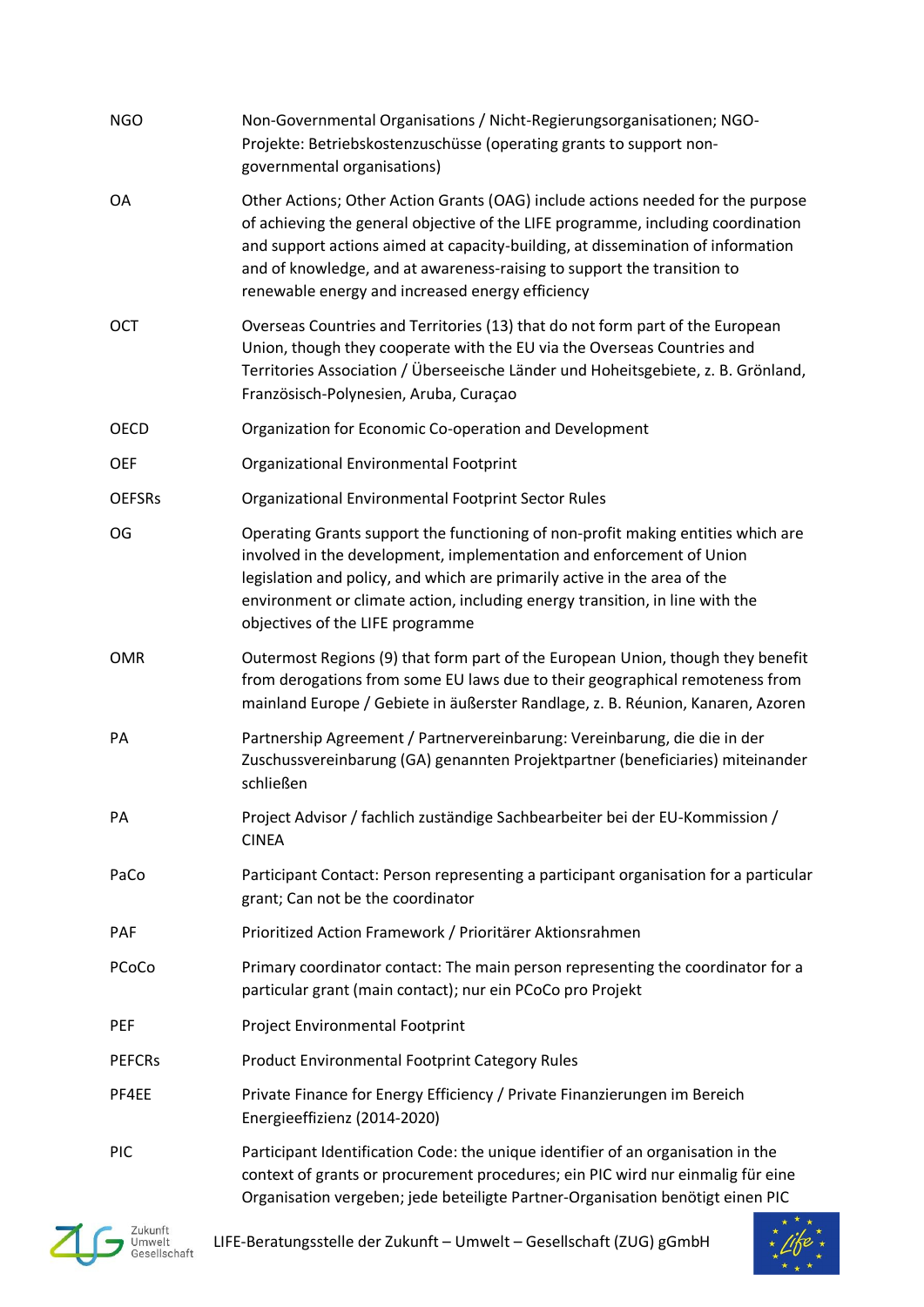| <b>NGO</b>    | Non-Governmental Organisations / Nicht-Regierungsorganisationen; NGO-<br>Projekte: Betriebskostenzuschüsse (operating grants to support non-<br>governmental organisations)                                                                                                                                                                                                           |
|---------------|---------------------------------------------------------------------------------------------------------------------------------------------------------------------------------------------------------------------------------------------------------------------------------------------------------------------------------------------------------------------------------------|
| OA            | Other Actions; Other Action Grants (OAG) include actions needed for the purpose<br>of achieving the general objective of the LIFE programme, including coordination<br>and support actions aimed at capacity-building, at dissemination of information<br>and of knowledge, and at awareness-raising to support the transition to<br>renewable energy and increased energy efficiency |
| <b>OCT</b>    | Overseas Countries and Territories (13) that do not form part of the European<br>Union, though they cooperate with the EU via the Overseas Countries and<br>Territories Association / Überseeische Länder und Hoheitsgebiete, z. B. Grönland,<br>Französisch-Polynesien, Aruba, Curaçao                                                                                               |
| OECD          | Organization for Economic Co-operation and Development                                                                                                                                                                                                                                                                                                                                |
| <b>OEF</b>    | Organizational Environmental Footprint                                                                                                                                                                                                                                                                                                                                                |
| <b>OEFSRs</b> | Organizational Environmental Footprint Sector Rules                                                                                                                                                                                                                                                                                                                                   |
| OG            | Operating Grants support the functioning of non-profit making entities which are<br>involved in the development, implementation and enforcement of Union<br>legislation and policy, and which are primarily active in the area of the<br>environment or climate action, including energy transition, in line with the<br>objectives of the LIFE programme                             |
| <b>OMR</b>    | Outermost Regions (9) that form part of the European Union, though they benefit<br>from derogations from some EU laws due to their geographical remoteness from<br>mainland Europe / Gebiete in äußerster Randlage, z. B. Réunion, Kanaren, Azoren                                                                                                                                    |
| PA            | Partnership Agreement / Partnervereinbarung: Vereinbarung, die die in der<br>Zuschussvereinbarung (GA) genannten Projektpartner (beneficiaries) miteinander<br>schließen                                                                                                                                                                                                              |
| PA            | Project Advisor / fachlich zuständige Sachbearbeiter bei der EU-Kommission /<br><b>CINEA</b>                                                                                                                                                                                                                                                                                          |
| PaCo          | Participant Contact: Person representing a participant organisation for a particular<br>grant; Can not be the coordinator                                                                                                                                                                                                                                                             |
| <b>PAF</b>    | Prioritized Action Framework / Prioritärer Aktionsrahmen                                                                                                                                                                                                                                                                                                                              |
| PCoCo         | Primary coordinator contact: The main person representing the coordinator for a<br>particular grant (main contact); nur ein PCoCo pro Projekt                                                                                                                                                                                                                                         |
| PEF           | Project Environmental Footprint                                                                                                                                                                                                                                                                                                                                                       |
| <b>PEFCRS</b> | <b>Product Environmental Footprint Category Rules</b>                                                                                                                                                                                                                                                                                                                                 |
| PF4EE         | Private Finance for Energy Efficiency / Private Finanzierungen im Bereich<br>Energieeffizienz (2014-2020)                                                                                                                                                                                                                                                                             |
| <b>PIC</b>    | Participant Identification Code: the unique identifier of an organisation in the<br>context of grants or procurement procedures; ein PIC wird nur einmalig für eine<br>Organisation vergeben; jede beteiligte Partner-Organisation benötigt einen PIC                                                                                                                                 |



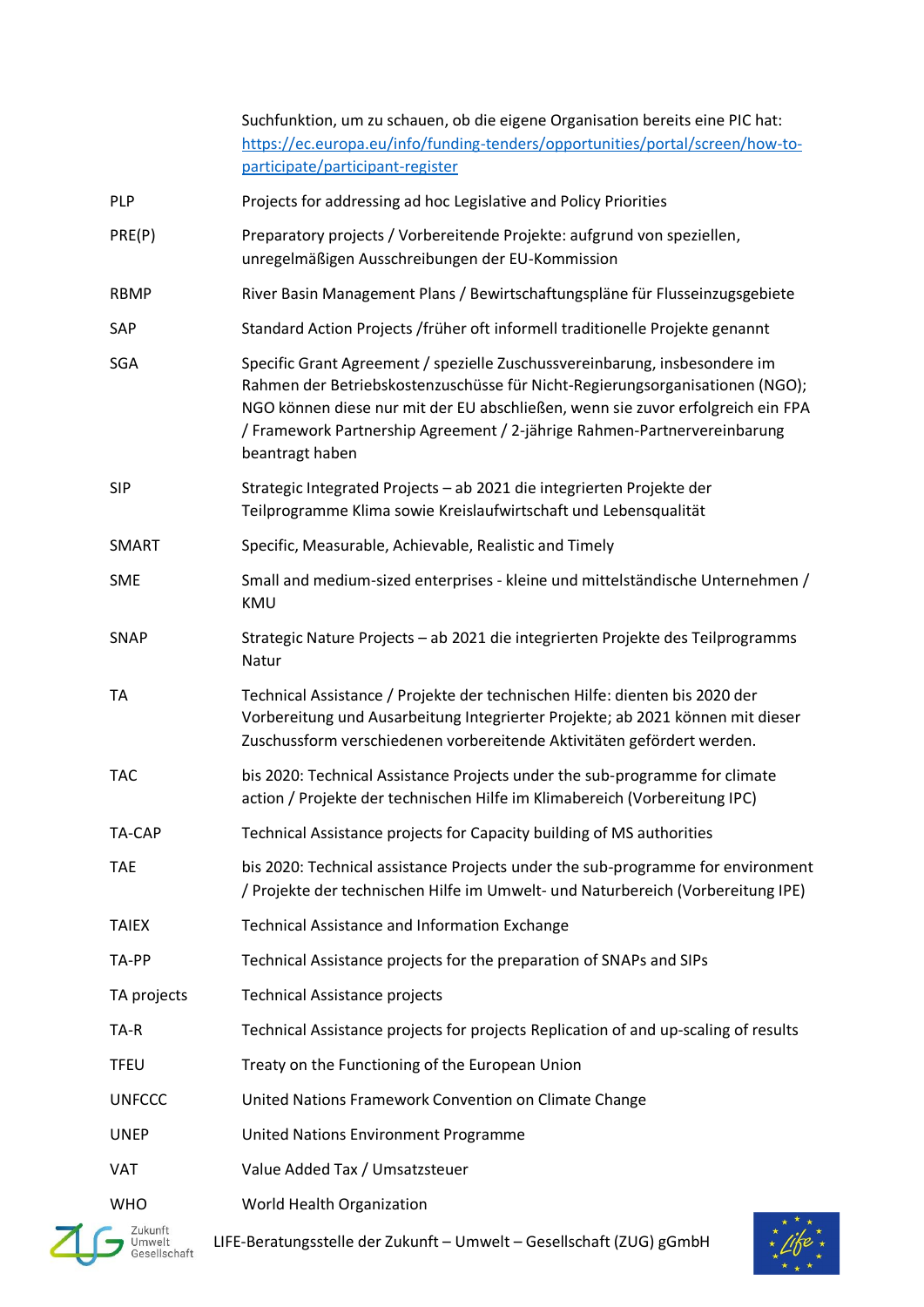|                       | Suchfunktion, um zu schauen, ob die eigene Organisation bereits eine PIC hat:<br>https://ec.europa.eu/info/funding-tenders/opportunities/portal/screen/how-to-<br>participate/participant-register                                                                                                                                           |
|-----------------------|----------------------------------------------------------------------------------------------------------------------------------------------------------------------------------------------------------------------------------------------------------------------------------------------------------------------------------------------|
| PLP                   | Projects for addressing ad hoc Legislative and Policy Priorities                                                                                                                                                                                                                                                                             |
| PRE(P)                | Preparatory projects / Vorbereitende Projekte: aufgrund von speziellen,<br>unregelmäßigen Ausschreibungen der EU-Kommission                                                                                                                                                                                                                  |
| <b>RBMP</b>           | River Basin Management Plans / Bewirtschaftungspläne für Flusseinzugsgebiete                                                                                                                                                                                                                                                                 |
| SAP                   | Standard Action Projects / früher oft informell traditionelle Projekte genannt                                                                                                                                                                                                                                                               |
| <b>SGA</b>            | Specific Grant Agreement / spezielle Zuschussvereinbarung, insbesondere im<br>Rahmen der Betriebskostenzuschüsse für Nicht-Regierungsorganisationen (NGO);<br>NGO können diese nur mit der EU abschließen, wenn sie zuvor erfolgreich ein FPA<br>/ Framework Partnership Agreement / 2-jährige Rahmen-Partnervereinbarung<br>beantragt haben |
| <b>SIP</b>            | Strategic Integrated Projects - ab 2021 die integrierten Projekte der<br>Teilprogramme Klima sowie Kreislaufwirtschaft und Lebensqualität                                                                                                                                                                                                    |
| SMART                 | Specific, Measurable, Achievable, Realistic and Timely                                                                                                                                                                                                                                                                                       |
| <b>SME</b>            | Small and medium-sized enterprises - kleine und mittelständische Unternehmen /<br>KMU                                                                                                                                                                                                                                                        |
| SNAP                  | Strategic Nature Projects - ab 2021 die integrierten Projekte des Teilprogramms<br>Natur                                                                                                                                                                                                                                                     |
| <b>TA</b>             | Technical Assistance / Projekte der technischen Hilfe: dienten bis 2020 der<br>Vorbereitung und Ausarbeitung Integrierter Projekte; ab 2021 können mit dieser<br>Zuschussform verschiedenen vorbereitende Aktivitäten gefördert werden.                                                                                                      |
| <b>TAC</b>            | bis 2020: Technical Assistance Projects under the sub-programme for climate<br>action / Projekte der technischen Hilfe im Klimabereich (Vorbereitung IPC)                                                                                                                                                                                    |
| TA-CAP                | Technical Assistance projects for Capacity building of MS authorities                                                                                                                                                                                                                                                                        |
| <b>TAE</b>            | bis 2020: Technical assistance Projects under the sub-programme for environment<br>/ Projekte der technischen Hilfe im Umwelt- und Naturbereich (Vorbereitung IPE)                                                                                                                                                                           |
| <b>TAIEX</b>          | <b>Technical Assistance and Information Exchange</b>                                                                                                                                                                                                                                                                                         |
| TA-PP                 | Technical Assistance projects for the preparation of SNAPs and SIPs                                                                                                                                                                                                                                                                          |
| TA projects           | <b>Technical Assistance projects</b>                                                                                                                                                                                                                                                                                                         |
| TA-R                  | Technical Assistance projects for projects Replication of and up-scaling of results                                                                                                                                                                                                                                                          |
| <b>TFEU</b>           | Treaty on the Functioning of the European Union                                                                                                                                                                                                                                                                                              |
| <b>UNFCCC</b>         | United Nations Framework Convention on Climate Change                                                                                                                                                                                                                                                                                        |
| <b>UNEP</b>           | <b>United Nations Environment Programme</b>                                                                                                                                                                                                                                                                                                  |
| VAT                   | Value Added Tax / Umsatzsteuer                                                                                                                                                                                                                                                                                                               |
| <b>WHO</b><br>Zukunft | World Health Organization                                                                                                                                                                                                                                                                                                                    |



LIFE-Beratungsstelle der Zukunft – Umwelt – Gesellschaft (ZUG) gGmbH